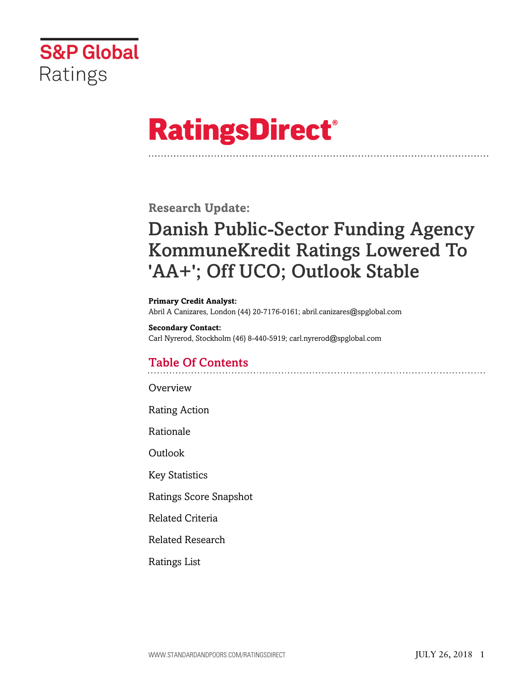

# **RatingsDirect®**

**Research Update:**

# Danish Public-Sector Funding Agency KommuneKredit Ratings Lowered To 'AA+'; Off UCO; Outlook Stable

**Primary Credit Analyst:** Abril A Canizares, London (44) 20-7176-0161; abril.canizares@spglobal.com

**Secondary Contact:** Carl Nyrerod, Stockholm (46) 8-440-5919; carl.nyrerod@spglobal.com

# Table Of Contents

**[Overview](#page-1-0)** 

[Rating Action](#page-1-1)

[Rationale](#page-1-2)

[Outlook](#page-5-0)

[Key Statistics](#page-6-0)

[Ratings Score Snapshot](#page-6-1)

[Related Criteria](#page-7-0)

[Related Research](#page-7-1)

[Ratings List](#page-7-2)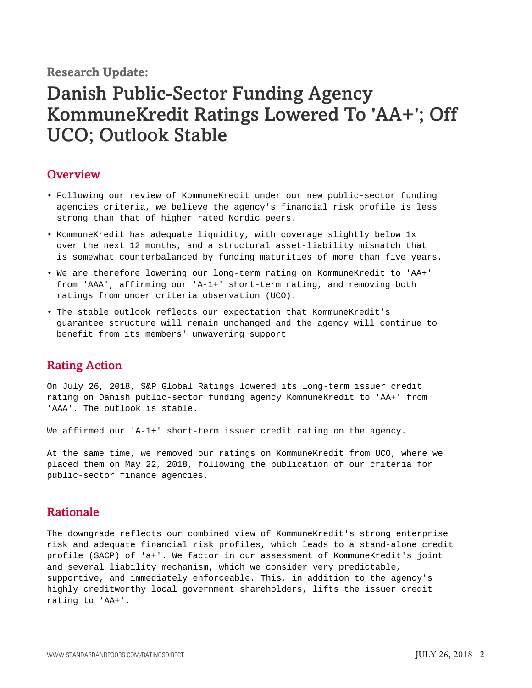**Research Update:**

# Danish Public-Sector Funding Agency KommuneKredit Ratings Lowered To 'AA+'; Off UCO; Outlook Stable

#### <span id="page-1-0"></span>**Overview**

- Following our review of KommuneKredit under our new public-sector funding agencies criteria, we believe the agency's financial risk profile is less strong than that of higher rated Nordic peers.
- KommuneKredit has adequate liquidity, with coverage slightly below 1x over the next 12 months, and a structural asset-liability mismatch that is somewhat counterbalanced by funding maturities of more than five years.
- We are therefore lowering our long-term rating on KommuneKredit to 'AA+' from 'AAA', affirming our 'A-1+' short-term rating, and removing both ratings from under criteria observation (UCO).
- The stable outlook reflects our expectation that KommuneKredit's guarantee structure will remain unchanged and the agency will continue to benefit from its members' unwavering support

### <span id="page-1-1"></span>Rating Action

On July 26, 2018, S&P Global Ratings lowered its long-term issuer credit rating on Danish public-sector funding agency KommuneKredit to 'AA+' from 'AAA'. The outlook is stable.

We affirmed our 'A-1+' short-term issuer credit rating on the agency.

At the same time, we removed our ratings on KommuneKredit from UCO, where we placed them on May 22, 2018, following the publication of our criteria for public-sector finance agencies.

### <span id="page-1-2"></span>Rationale

The downgrade reflects our combined view of KommuneKredit's strong enterprise risk and adequate financial risk profiles, which leads to a stand-alone credit profile (SACP) of 'a+'. We factor in our assessment of KommuneKredit's joint and several liability mechanism, which we consider very predictable, supportive, and immediately enforceable. This, in addition to the agency's highly creditworthy local government shareholders, lifts the issuer credit rating to 'AA+'.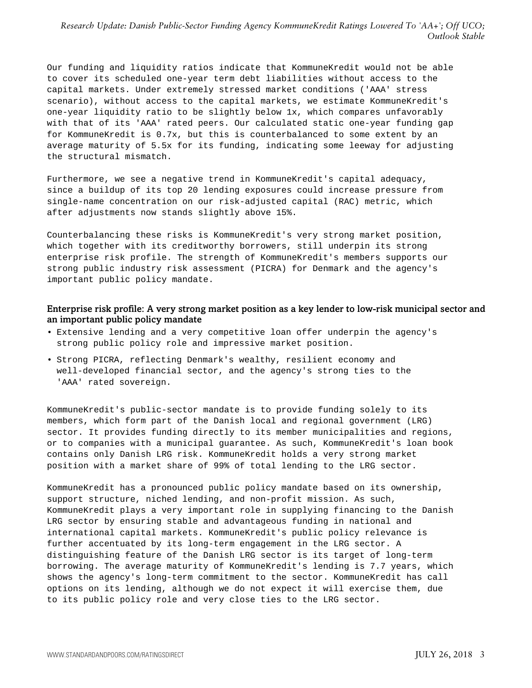#### *Research Update: Danish Public-Sector Funding Agency KommuneKredit Ratings Lowered To 'AA+'; Off UCO; Outlook Stable*

Our funding and liquidity ratios indicate that KommuneKredit would not be able to cover its scheduled one-year term debt liabilities without access to the capital markets. Under extremely stressed market conditions ('AAA' stress scenario), without access to the capital markets, we estimate KommuneKredit's one-year liquidity ratio to be slightly below 1x, which compares unfavorably with that of its 'AAA' rated peers. Our calculated static one-year funding gap for KommuneKredit is 0.7x, but this is counterbalanced to some extent by an average maturity of 5.5x for its funding, indicating some leeway for adjusting the structural mismatch.

Furthermore, we see a negative trend in KommuneKredit's capital adequacy, since a buildup of its top 20 lending exposures could increase pressure from single-name concentration on our risk-adjusted capital (RAC) metric, which after adjustments now stands slightly above 15%.

Counterbalancing these risks is KommuneKredit's very strong market position, which together with its creditworthy borrowers, still underpin its strong enterprise risk profile. The strength of KommuneKredit's members supports our strong public industry risk assessment (PICRA) for Denmark and the agency's important public policy mandate.

#### Enterprise risk profile: A very strong market position as a key lender to low-risk municipal sector and an important public policy mandate

- Extensive lending and a very competitive loan offer underpin the agency's strong public policy role and impressive market position.
- Strong PICRA, reflecting Denmark's wealthy, resilient economy and well-developed financial sector, and the agency's strong ties to the 'AAA' rated sovereign.

KommuneKredit's public-sector mandate is to provide funding solely to its members, which form part of the Danish local and regional government (LRG) sector. It provides funding directly to its member municipalities and regions, or to companies with a municipal guarantee. As such, KommuneKredit's loan book contains only Danish LRG risk. KommuneKredit holds a very strong market position with a market share of 99% of total lending to the LRG sector.

KommuneKredit has a pronounced public policy mandate based on its ownership, support structure, niched lending, and non-profit mission. As such, KommuneKredit plays a very important role in supplying financing to the Danish LRG sector by ensuring stable and advantageous funding in national and international capital markets. KommuneKredit's public policy relevance is further accentuated by its long-term engagement in the LRG sector. A distinguishing feature of the Danish LRG sector is its target of long-term borrowing. The average maturity of KommuneKredit's lending is 7.7 years, which shows the agency's long-term commitment to the sector. KommuneKredit has call options on its lending, although we do not expect it will exercise them, due to its public policy role and very close ties to the LRG sector.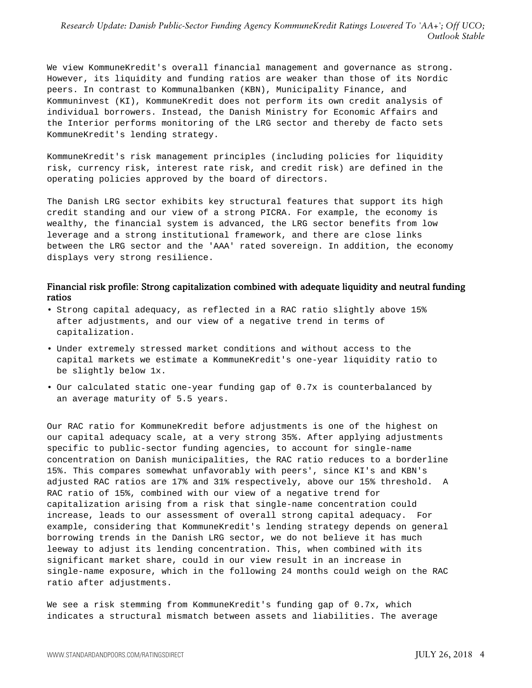We view KommuneKredit's overall financial management and governance as strong. However, its liquidity and funding ratios are weaker than those of its Nordic peers. In contrast to Kommunalbanken (KBN), Municipality Finance, and Kommuninvest (KI), KommuneKredit does not perform its own credit analysis of individual borrowers. Instead, the Danish Ministry for Economic Affairs and the Interior performs monitoring of the LRG sector and thereby de facto sets KommuneKredit's lending strategy.

KommuneKredit's risk management principles (including policies for liquidity risk, currency risk, interest rate risk, and credit risk) are defined in the operating policies approved by the board of directors.

The Danish LRG sector exhibits key structural features that support its high credit standing and our view of a strong PICRA. For example, the economy is wealthy, the financial system is advanced, the LRG sector benefits from low leverage and a strong institutional framework, and there are close links between the LRG sector and the 'AAA' rated sovereign. In addition, the economy displays very strong resilience.

#### Financial risk profile: Strong capitalization combined with adequate liquidity and neutral funding ratios

- Strong capital adequacy, as reflected in a RAC ratio slightly above 15% after adjustments, and our view of a negative trend in terms of capitalization.
- Under extremely stressed market conditions and without access to the capital markets we estimate a KommuneKredit's one-year liquidity ratio to be slightly below 1x.
- Our calculated static one-year funding gap of 0.7x is counterbalanced by an average maturity of 5.5 years.

Our RAC ratio for KommuneKredit before adjustments is one of the highest on our capital adequacy scale, at a very strong 35%. After applying adjustments specific to public-sector funding agencies, to account for single-name concentration on Danish municipalities, the RAC ratio reduces to a borderline 15%. This compares somewhat unfavorably with peers', since KI's and KBN's adjusted RAC ratios are 17% and 31% respectively, above our 15% threshold. A RAC ratio of 15%, combined with our view of a negative trend for capitalization arising from a risk that single-name concentration could increase, leads to our assessment of overall strong capital adequacy. For example, considering that KommuneKredit's lending strategy depends on general borrowing trends in the Danish LRG sector, we do not believe it has much leeway to adjust its lending concentration. This, when combined with its significant market share, could in our view result in an increase in single-name exposure, which in the following 24 months could weigh on the RAC ratio after adjustments.

We see a risk stemming from KommuneKredit's funding gap of 0.7x, which indicates a structural mismatch between assets and liabilities. The average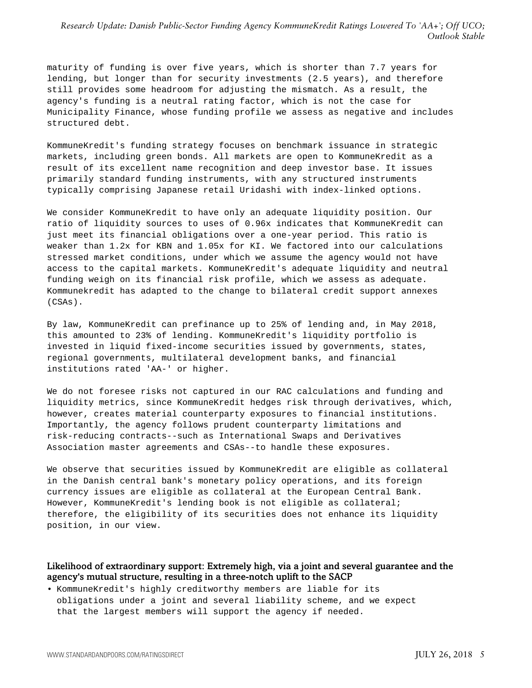#### *Research Update: Danish Public-Sector Funding Agency KommuneKredit Ratings Lowered To 'AA+'; Off UCO; Outlook Stable*

maturity of funding is over five years, which is shorter than 7.7 years for lending, but longer than for security investments (2.5 years), and therefore still provides some headroom for adjusting the mismatch. As a result, the agency's funding is a neutral rating factor, which is not the case for Municipality Finance, whose funding profile we assess as negative and includes structured debt.

KommuneKredit's funding strategy focuses on benchmark issuance in strategic markets, including green bonds. All markets are open to KommuneKredit as a result of its excellent name recognition and deep investor base. It issues primarily standard funding instruments, with any structured instruments typically comprising Japanese retail Uridashi with index-linked options.

We consider KommuneKredit to have only an adequate liquidity position. Our ratio of liquidity sources to uses of 0.96x indicates that KommuneKredit can just meet its financial obligations over a one-year period. This ratio is weaker than 1.2x for KBN and 1.05x for KI. We factored into our calculations stressed market conditions, under which we assume the agency would not have access to the capital markets. KommuneKredit's adequate liquidity and neutral funding weigh on its financial risk profile, which we assess as adequate. Kommunekredit has adapted to the change to bilateral credit support annexes (CSAs).

By law, KommuneKredit can prefinance up to 25% of lending and, in May 2018, this amounted to 23% of lending. KommuneKredit's liquidity portfolio is invested in liquid fixed-income securities issued by governments, states, regional governments, multilateral development banks, and financial institutions rated 'AA-' or higher.

We do not foresee risks not captured in our RAC calculations and funding and liquidity metrics, since KommuneKredit hedges risk through derivatives, which, however, creates material counterparty exposures to financial institutions. Importantly, the agency follows prudent counterparty limitations and risk-reducing contracts--such as International Swaps and Derivatives Association master agreements and CSAs--to handle these exposures.

We observe that securities issued by KommuneKredit are eligible as collateral in the Danish central bank's monetary policy operations, and its foreign currency issues are eligible as collateral at the European Central Bank. However, KommuneKredit's lending book is not eligible as collateral; therefore, the eligibility of its securities does not enhance its liquidity position, in our view.

#### Likelihood of extraordinary support: Extremely high, via a joint and several guarantee and the agency's mutual structure, resulting in a three-notch uplift to the SACP

• KommuneKredit's highly creditworthy members are liable for its obligations under a joint and several liability scheme, and we expect that the largest members will support the agency if needed.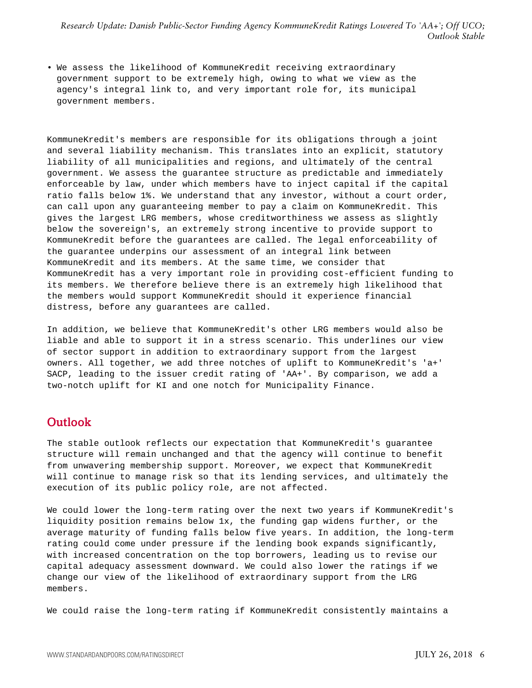• We assess the likelihood of KommuneKredit receiving extraordinary government support to be extremely high, owing to what we view as the agency's integral link to, and very important role for, its municipal government members.

KommuneKredit's members are responsible for its obligations through a joint and several liability mechanism. This translates into an explicit, statutory liability of all municipalities and regions, and ultimately of the central government. We assess the guarantee structure as predictable and immediately enforceable by law, under which members have to inject capital if the capital ratio falls below 1%. We understand that any investor, without a court order, can call upon any guaranteeing member to pay a claim on KommuneKredit. This gives the largest LRG members, whose creditworthiness we assess as slightly below the sovereign's, an extremely strong incentive to provide support to KommuneKredit before the guarantees are called. The legal enforceability of the guarantee underpins our assessment of an integral link between KommuneKredit and its members. At the same time, we consider that KommuneKredit has a very important role in providing cost-efficient funding to its members. We therefore believe there is an extremely high likelihood that the members would support KommuneKredit should it experience financial distress, before any guarantees are called.

In addition, we believe that KommuneKredit's other LRG members would also be liable and able to support it in a stress scenario. This underlines our view of sector support in addition to extraordinary support from the largest owners. All together, we add three notches of uplift to KommuneKredit's 'a+' SACP, leading to the issuer credit rating of 'AA+'. By comparison, we add a two-notch uplift for KI and one notch for Municipality Finance.

# <span id="page-5-0"></span>**Outlook**

The stable outlook reflects our expectation that KommuneKredit's guarantee structure will remain unchanged and that the agency will continue to benefit from unwavering membership support. Moreover, we expect that KommuneKredit will continue to manage risk so that its lending services, and ultimately the execution of its public policy role, are not affected.

We could lower the long-term rating over the next two years if KommuneKredit's liquidity position remains below 1x, the funding gap widens further, or the average maturity of funding falls below five years. In addition, the long-term rating could come under pressure if the lending book expands significantly, with increased concentration on the top borrowers, leading us to revise our capital adequacy assessment downward. We could also lower the ratings if we change our view of the likelihood of extraordinary support from the LRG members.

We could raise the long-term rating if KommuneKredit consistently maintains a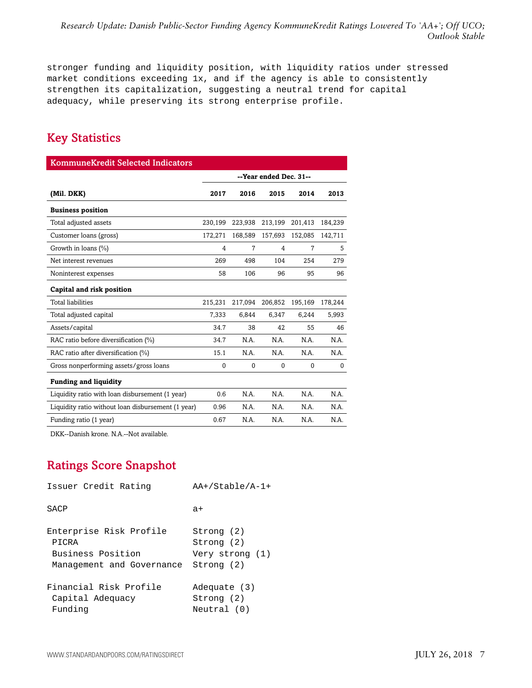stronger funding and liquidity position, with liquidity ratios under stressed market conditions exceeding 1x, and if the agency is able to consistently strengthen its capitalization, suggesting a neutral trend for capital adequacy, while preserving its strong enterprise profile.

# <span id="page-6-0"></span>Key Statistics

| <b>KommuneKredit Selected Indicators</b>           |                        |          |          |          |          |
|----------------------------------------------------|------------------------|----------|----------|----------|----------|
|                                                    | --Year ended Dec. 31-- |          |          |          |          |
| (Mil. DKK)                                         | 2017                   | 2016     | 2015     | 2014     | 2013     |
| <b>Business position</b>                           |                        |          |          |          |          |
| Total adjusted assets                              | 230,199                | 223,938  | 213,199  | 201,413  | 184,239  |
| Customer loans (gross)                             | 172,271                | 168,589  | 157,693  | 152,085  | 142,711  |
| Growth in loans (%)                                | 4                      | 7        | 4        | 7        | 5        |
| Net interest revenues                              | 269                    | 498      | 104      | 254      | 279      |
| Noninterest expenses                               | 58                     | 106      | 96       | 95       | 96       |
| Capital and risk position                          |                        |          |          |          |          |
| <b>Total liabilities</b>                           | 215,231                | 217,094  | 206,852  | 195,169  | 178,244  |
| Total adjusted capital                             | 7,333                  | 6,844    | 6,347    | 6,244    | 5,993    |
| Assets/capital                                     | 34.7                   | 38       | 42       | 55       | 46       |
| RAC ratio before diversification (%)               | 34.7                   | N.A.     | N.A.     | N.A.     | N.A.     |
| RAC ratio after diversification (%)                | 15.1                   | N.A.     | N.A.     | N.A.     | N.A.     |
| Gross nonperforming assets/gross loans             | $\Omega$               | $\Omega$ | $\Omega$ | $\Omega$ | $\Omega$ |
| <b>Funding and liquidity</b>                       |                        |          |          |          |          |
| Liquidity ratio with loan disbursement (1 year)    | 0.6                    | N.A.     | N.A.     | N.A.     | N.A.     |
| Liquidity ratio without loan disbursement (1 year) | 0.96                   | N.A.     | N.A.     | N.A.     | N.A.     |
| Funding ratio (1 year)                             | 0.67                   | N.A.     | N.A.     | N.A.     | N.A.     |

<span id="page-6-1"></span>DKK--Danish krone. N.A.--Not available.

# Ratings Score Snapshot

| Issuer Credit Rating      | $AA+ /Stable / A-1+$ |  |
|---------------------------|----------------------|--|
| SACP                      | $a+$                 |  |
| Enterprise Risk Profile   | Strong (2)           |  |
| PICRA                     | Strong (2)           |  |
| Business Position         | Very strong (1)      |  |
| Management and Governance | Strong (2)           |  |
| Financial Risk Profile    | Adequate (3)         |  |
| Capital Adequacy          | Strong (2)           |  |
| Funding                   | Neutral (0)          |  |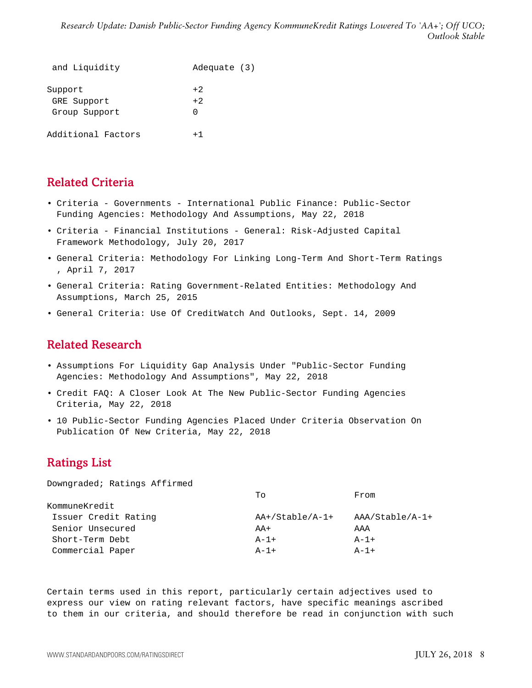*Research Update: Danish Public-Sector Funding Agency KommuneKredit Ratings Lowered To 'AA+'; Off UCO; Outlook Stable*

| and Liquidity                           | Adequate (3)             |
|-----------------------------------------|--------------------------|
| Support<br>GRE Support<br>Group Support | $+2.$<br>$+2.$<br>$\cap$ |
| Additional Factors                      | $+1$                     |

# <span id="page-7-0"></span>Related Criteria

- Criteria Governments International Public Finance: Public-Sector Funding Agencies: Methodology And Assumptions, May 22, 2018
- Criteria Financial Institutions General: Risk-Adjusted Capital Framework Methodology, July 20, 2017
- General Criteria: Methodology For Linking Long-Term And Short-Term Ratings , April 7, 2017
- General Criteria: Rating Government-Related Entities: Methodology And Assumptions, March 25, 2015
- <span id="page-7-1"></span>• General Criteria: Use Of CreditWatch And Outlooks, Sept. 14, 2009

# Related Research

- Assumptions For Liquidity Gap Analysis Under "Public-Sector Funding Agencies: Methodology And Assumptions", May 22, 2018
- Credit FAQ: A Closer Look At The New Public-Sector Funding Agencies Criteria, May 22, 2018
- 10 Public-Sector Funding Agencies Placed Under Criteria Observation On Publication Of New Criteria, May 22, 2018

# <span id="page-7-2"></span>Ratings List

Downgraded; Ratings Affirmed

|                      | Tο                 | From            |
|----------------------|--------------------|-----------------|
| KommuneKredit        |                    |                 |
| Issuer Credit Rating | $AA+ /Stable/A-1+$ | AAA/Stable/A-1+ |
| Senior Unsecured     | $AA+$              | AAA             |
| Short-Term Debt      | $A - 1 +$          | $A - 1 +$       |
| Commercial Paper     | $A-1+$             | $A - 1 +$       |

Certain terms used in this report, particularly certain adjectives used to express our view on rating relevant factors, have specific meanings ascribed to them in our criteria, and should therefore be read in conjunction with such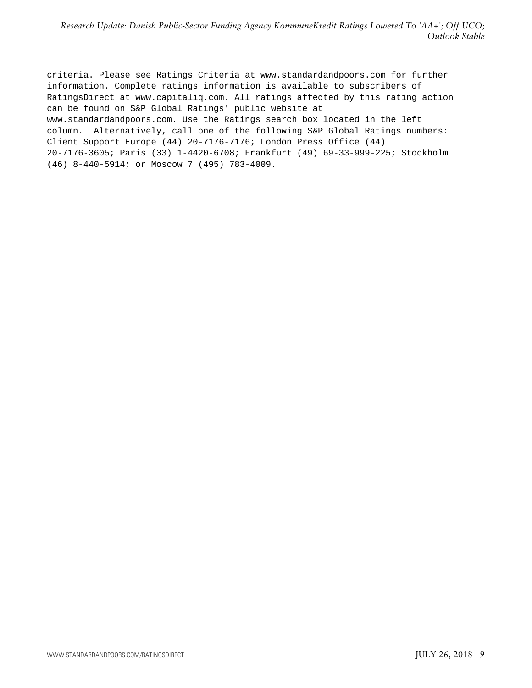criteria. Please see Ratings Criteria at www.standardandpoors.com for further information. Complete ratings information is available to subscribers of RatingsDirect at www.capitaliq.com. All ratings affected by this rating action can be found on S&P Global Ratings' public website at www.standardandpoors.com. Use the Ratings search box located in the left column. Alternatively, call one of the following S&P Global Ratings numbers: Client Support Europe (44) 20-7176-7176; London Press Office (44) 20-7176-3605; Paris (33) 1-4420-6708; Frankfurt (49) 69-33-999-225; Stockholm (46) 8-440-5914; or Moscow 7 (495) 783-4009.